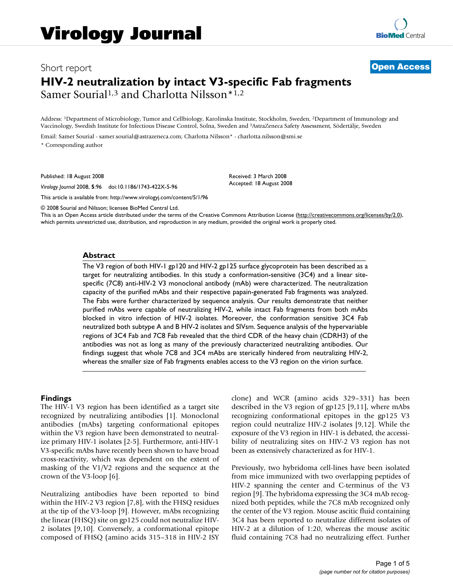# Short report **[Open Access](http://www.biomedcentral.com/info/about/charter/) HIV-2 neutralization by intact V3-specific Fab fragments** Samer Sourial<sup>1,3</sup> and Charlotta Nilsson<sup>\*1,2</sup>

Address: 1Department of Microbiology, Tumor and Cellbiology, Karolinska Institute, Stockholm, Sweden, 2Department of Immunology and Vaccinology, Swedish Institute for Infectious Disease Control, Solna, Sweden and 3AstraZeneca Safety Assessment, Södertälje, Sweden

Email: Samer Sourial - samer.sourial@astrazeneca.com; Charlotta Nilsson\* - charlotta.nilsson@smi.se

\* Corresponding author

Published: 18 August 2008

*Virology Journal* 2008, **5**:96 doi:10.1186/1743-422X-5-96

[This article is available from: http://www.virologyj.com/content/5/1/96](http://www.virologyj.com/content/5/1/96)

© 2008 Sourial and Nilsson; licensee BioMed Central Ltd.

This is an Open Access article distributed under the terms of the Creative Commons Attribution License [\(http://creativecommons.org/licenses/by/2.0\)](http://creativecommons.org/licenses/by/2.0), which permits unrestricted use, distribution, and reproduction in any medium, provided the original work is properly cited.

Received: 3 March 2008 Accepted: 18 August 2008

#### **Abstract**

The V3 region of both HIV-1 gp120 and HIV-2 gp125 surface glycoprotein has been described as a target for neutralizing antibodies. In this study a conformation-sensitive (3C4) and a linear sitespecific (7C8) anti-HIV-2 V3 monoclonal antibody (mAb) were characterized. The neutralization capacity of the purified mAbs and their respective papain-generated Fab fragments was analyzed. The Fabs were further characterized by sequence analysis. Our results demonstrate that neither purified mAbs were capable of neutralizing HIV-2, while intact Fab fragments from both mAbs blocked in vitro infection of HIV-2 isolates. Moreover, the conformation sensitive 3C4 Fab neutralized both subtype A and B HIV-2 isolates and SIVsm. Sequence analysis of the hypervariable regions of 3C4 Fab and 7C8 Fab revealed that the third CDR of the heavy chain (CDRH3) of the antibodies was not as long as many of the previously characterized neutralizing antibodies. Our findings suggest that whole 7C8 and 3C4 mAbs are sterically hindered from neutralizing HIV-2, whereas the smaller size of Fab fragments enables access to the V3 region on the virion surface.

#### **Findings**

The HIV-1 V3 region has been identified as a target site recognized by neutralizing antibodies [1]. Monoclonal antibodies (mAbs) targeting conformational epitopes within the V3 region have been demonstrated to neutralize primary HIV-1 isolates [2-5]. Furthermore, anti-HIV-1 V3-specific mAbs have recently been shown to have broad cross-reactivity, which was dependent on the extent of masking of the V1/V2 regions and the sequence at the crown of the V3-loop [6].

Neutralizing antibodies have been reported to bind within the HIV-2 V3 region [7,8], with the FHSQ residues at the tip of the V3-loop [9]. However, mAbs recognizing the linear (FHSQ) site on gp125 could not neutralize HIV-2 isolates [9,10]. Conversely, a conformational epitope composed of FHSQ (amino acids 315–318 in HIV-2 ISY clone) and WCR (amino acids 329–331) has been described in the V3 region of gp125 [9,11], where mAbs recognizing conformational epitopes in the gp125 V3 region could neutralize HIV-2 isolates [9,12]. While the exposure of the V3 region in HIV-1 is debated, the accessibility of neutralizing sites on HIV-2 V3 region has not been as extensively characterized as for HIV-1.

Previously, two hybridoma cell-lines have been isolated from mice immunized with two overlapping peptides of HIV-2 spanning the center and C-terminus of the V3 region [9]. The hybridoma expressing the 3C4 mAb recognized both peptides, while the 7C8 mAb recognized only the center of the V3 region. Mouse ascitic fluid containing 3C4 has been reported to neutralize different isolates of HIV-2 at a dilution of 1:20, whereas the mouse ascitic fluid containing 7C8 had no neutralizing effect. Further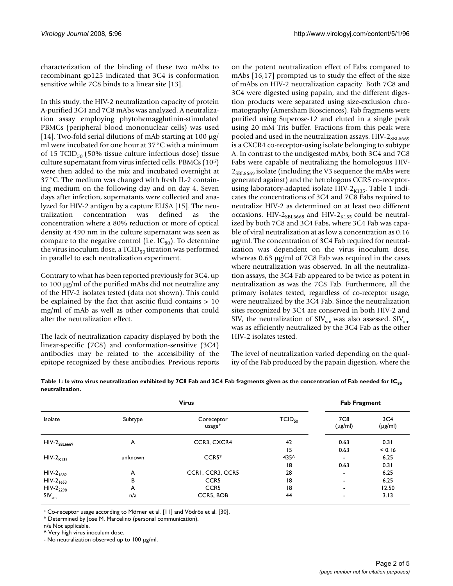characterization of the binding of these two mAbs to recombinant gp125 indicated that 3C4 is conformation sensitive while 7C8 binds to a linear site [13].

In this study, the HIV-2 neutralization capacity of protein A-purified 3C4 and 7C8 mAbs was analyzed. A neutralization assay employing phytohemagglutinin-stimulated PBMCs (peripheral blood mononuclear cells) was used [14]. Two-fold serial dilutions of mAb starting at 100 μg/ ml were incubated for one hour at 37°C with a minimum of 15 TCID $_{50}$  (50% tissue culture infectious dose) tissue culture supernatant from virus infected cells. PBMCs (105) were then added to the mix and incubated overnight at 37°C. The medium was changed with fresh IL-2 containing medium on the following day and on day 4. Seven days after infection, supernatants were collected and analyzed for HIV-2 antigen by a capture ELISA [15]. The neutralization concentration was defined as the concentration where a 80% reduction or more of optical density at 490 nm in the culture supernatant was seen as compare to the negative control (i.e.  $IC_{80}$ ). To determine the virus inoculum dose, a TCID $_{50}$  titration was performed in parallel to each neutralization experiment.

Contrary to what has been reported previously for 3C4, up to 100 μg/ml of the purified mAbs did not neutralize any of the HIV-2 isolates tested (data not shown). This could be explained by the fact that ascitic fluid contains > 10 mg/ml of mAb as well as other components that could alter the neutralization effect.

The lack of neutralization capacity displayed by both the linear-specific (7C8) and conformation-sensitive (3C4) antibodies may be related to the accessibility of the epitope recognized by these antibodies. Previous reports on the potent neutralization effect of Fabs compared to mAbs [16,17] prompted us to study the effect of the size of mAbs on HIV-2 neutralization capacity. Both 7C8 and 3C4 were digested using papain, and the different digestion products were separated using size-exclusion chromatography (Amersham Biosciences). Fab fragments were purified using Superose-12 and eluted in a single peak using 20 mM Tris buffer. Fractions from this peak were pooled and used in the neutralization assays. HIV- $2_{SBL669}$ is a CXCR4 co-receptor-using isolate belonging to subtype A. In contrast to the undigested mAbs, both 3C4 and 7C8 Fabs were capable of neutralizing the homologous HIV- $2_{\text{SBL669}}$  isolate (including the V3 sequence the mAbs were generated against) and the hetrologous CCR5 co-receptorusing laboratory-adapted isolate HIV-2 $_{K135}$ . Table 1 indicates the concentrations of 3C4 and 7C8 Fabs required to neutralize HIV-2 as determined on at least two different occasions. HIV- $2_{SBL6669}$  and HIV- $2_{K135}$  could be neutralized by both 7C8 and 3C4 Fabs, where 3C4 Fab was capable of viral neutralization at as low a concentration as 0.16 μg/ml. The concentration of 3C4 Fab required for neutralization was dependent on the virus inoculum dose, whereas 0.63 μg/ml of 7C8 Fab was required in the cases where neutralization was observed. In all the neutralization assays, the 3C4 Fab appeared to be twice as potent in neutralization as was the 7C8 Fab. Furthermore, all the primary isolates tested, regardless of co-receptor usage, were neutralized by the 3C4 Fab. Since the neutralization sites recognized by 3C4 are conserved in both HIV-2 and SIV, the neutralization of  $\text{SIV}_{\text{sm}}$  was also assessed.  $\text{SIV}_{\text{sm}}$ was as efficiently neutralized by the 3C4 Fab as the other HIV-2 isolates tested.

The level of neutralization varied depending on the quality of the Fab produced by the papain digestion, where the

|                            | <b>Virus</b> |                                  |             |                     | <b>Fab Fragment</b>             |  |
|----------------------------|--------------|----------------------------------|-------------|---------------------|---------------------------------|--|
| Isolate                    | Subtype      | Coreceptor<br>usage <sup>+</sup> | $TCID_{50}$ | 7C8<br>$(\mu$ g/ml) | 3C <sub>4</sub><br>$(\mu g/ml)$ |  |
| $HIV-2$ <sub>SBL6669</sub> | A            | CCR3, CXCR4                      | 42          | 0.63                | 0.31                            |  |
|                            |              |                                  | 15          | 0.63                | < 0.16                          |  |
| $HIV-2K135$                | unknown      | $CCR5*$                          | 435^        | ۰                   | 6.25                            |  |
|                            |              |                                  | 18          | 0.63                | 0.31                            |  |
| $HIV-2_{1682}$             | A            | CCRI, CCR3, CCR5                 | 28          | ۰                   | 6.25                            |  |
| $HIV-2_{1653}$             | B            | CCR <sub>5</sub>                 | 18          | ۰                   | 6.25                            |  |
| HIV-2 <sub>2298</sub>      | A            | CCR <sub>5</sub>                 | 18          | ۰                   | 12.50                           |  |
| $SIV_{sm}$                 | n/a          | CCR5, BOB                        | 44          | ۰                   | 3.13                            |  |

Table 1: *In vitro virus neutralization exhibited by 7C8 Fab and 3C4 Fab fragments given as the concentration of Fab needed for IC<sub>80</sub>* **neutralization.**

+ Co-receptor usage according to Mörner et al. [11] and Vödrös et al. [30].

\* Determined by Jose M. Marcelino (personal communication).

n/a Not applicable.

^ Very high virus inoculum dose.

- No neutralization observed up to 100 μg/ml.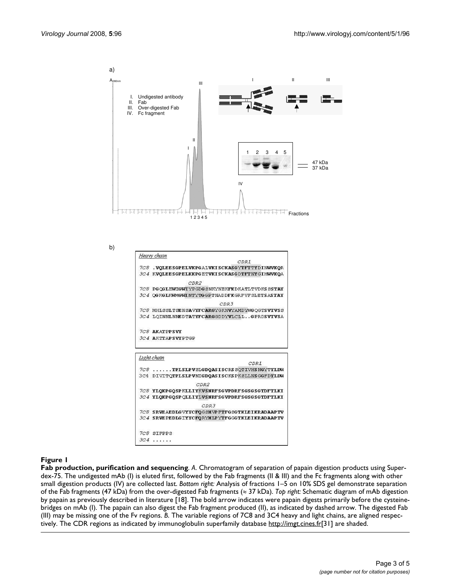a)  $A_{280nm}$ I II III III I. Undigested antibody<br>II. Fab Fab III. Over-digested Fab IV. Fc fragment II I 1 2 3 4 5 47 kDa 37 kDa IV File El Helathi hi hi Fractions 四 四 四 四 四 四 四 四  $\begin{array}{|c|c|c|c|}\n\hline\n & 12345\n\end{array}$ 

b)



#### Figure 1

**Fab production, purification and sequencing**. *A*. Chromatogram of separation of papain digestion products using Superdex-75. The undigested mAb (I) is eluted first, followed by the Fab fragments (II & III) and the Fc fragments along with other small digestion products (IV) are collected last. *Bottom right:* Analysis of fractions 1–5 on 10% SDS gel demonstrate separation of the Fab fragments (47 kDa) from the over-digested Fab fragments (≈ 37 kDa). *Top right:* Schematic diagram of mAb digestion by papain as previously described in literature [18]. The bold arrow indicates were papain digests primarily before the cysteinebridges on mAb (I). The papain can also digest the Fab fragment produced (II), as indicated by dashed arrow. The digested Fab (III) may be missing one of the Fv regions. *B*. The variable regions of 7C8 and 3C4 heavy and light chains, are aligned respectively. The CDR regions as indicated by immunoglobulin superfamily database<http://imgt.cines.fr>[31] are shaded.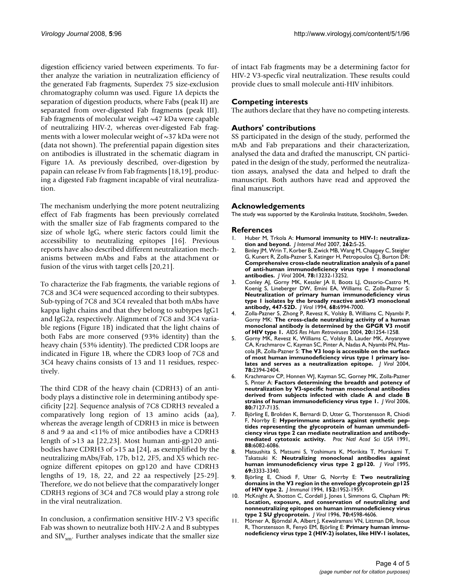digestion efficiency varied between experiments. To further analyze the variation in neutralization efficiency of the generated Fab fragments, Superdex 75 size-exclusion chromatography column was used. Figure 1A depicts the separation of digestion products, where Fabs (peak II) are separated from over-digested Fab fragments (peak III). Fab fragments of molecular weight ~47 kDa were capable of neutralizing HIV-2, whereas over-digested Fab fragments with a lower molecular weight of ~37 kDa were not (data not shown). The preferential papain digestion sites on antibodies is illustrated in the schematic diagram in Figure 1A. As previously described, over-digestion by papain can release Fv from Fab fragments [18,19], producing a digested Fab fragment incapable of viral neutralization.

The mechanism underlying the more potent neutralizing effect of Fab fragments has been previously correlated with the smaller size of Fab fragments compared to the size of whole IgG, where steric factors could limit the accessibility to neutralizing epitopes [16]. Previous reports have also described different neutralization mechanisms between mAbs and Fabs at the attachment or fusion of the virus with target cells [20,21].

To characterize the Fab fragments, the variable regions of 7C8 and 3C4 were sequenced according to their subtypes. Sub-typing of 7C8 and 3C4 revealed that both mAbs have kappa light chains and that they belong to subtypes IgG1 and IgG2a, respectively. Alignment of 7C8 and 3C4 variable regions (Figure 1B) indicated that the light chains of both Fabs are more conserved (93% identity) than the heavy chain (53% identity). The predicted CDR loops are indicated in Figure 1B, where the CDR3 loop of 7C8 and 3C4 heavy chains consists of 13 and 11 residues, respectively.

The third CDR of the heavy chain (CDRH3) of an antibody plays a distinctive role in determining antibody specificity [22]. Sequence analysis of 7C8 CDRH3 revealed a comparatively long region of 13 amino acids (aa), whereas the average length of CDRH3 in mice is between 8 and 9 aa and <11% of mice antibodies have a CDRH3 length of >13 aa [22,23]. Most human anti-gp120 antibodies have CDRH3 of >15 aa [24], as exemplified by the neutralizing mAbs/Fab, 17b, b12, 2F5, and X5 which recognize different epitopes on gp120 and have CDRH3 lengths of 19, 18, 22, and 22 aa respectively [25-29]. Therefore, we do not believe that the comparatively longer CDRH3 regions of 3C4 and 7C8 would play a strong role in the viral neutralization.

In conclusion, a confirmation sensitive HIV-2 V3 specific Fab was shown to neutralize both HIV-2 A and B subtypes and  $\text{SIV}_{\text{sm}}$ . Further analyses indicate that the smaller size of intact Fab fragments may be a determining factor for HIV-2 V3-specfic viral neutralization. These results could provide clues to small molecule anti-HIV inhibitors.

# **Competing interests**

The authors declare that they have no competing interests.

# **Authors' contributions**

SS participated in the design of the study, performed the mAb and Fab preparations and their characterization, analysed the data and drafted the manuscript, CN participated in the design of the study, performed the neutralization assays, analysed the data and helped to draft the manuscript. Both authors have read and approved the final manuscript.

## **Acknowledgements**

The study was supported by the Karolinska Institute, Stockholm, Sweden.

### **References**

- 1. Huber M, Trkola A: **[Humoral immunity to HIV-1: neutraliza](http://www.ncbi.nlm.nih.gov/entrez/query.fcgi?cmd=Retrieve&db=PubMed&dopt=Abstract&list_uids=17598812)[tion and beyond.](http://www.ncbi.nlm.nih.gov/entrez/query.fcgi?cmd=Retrieve&db=PubMed&dopt=Abstract&list_uids=17598812)** *J Internal Med* 2007, **262:**5-25.
- 2. Binley JM, Wrin T, Korber B, Zwick MB, Wang M, Chappey C, Steigler G, Kunert R, Zolla-Pazner S, Katinger H, Petropoulos CJ, Burton DR: **[Comprehensive cross-clade neutralization analysis of a panel](http://www.ncbi.nlm.nih.gov/entrez/query.fcgi?cmd=Retrieve&db=PubMed&dopt=Abstract&list_uids=15542675) of anti-human immunodeficiency virus type 1 monoclonal [antibodies.](http://www.ncbi.nlm.nih.gov/entrez/query.fcgi?cmd=Retrieve&db=PubMed&dopt=Abstract&list_uids=15542675)** *J Virol* 2004, **78:**13232-13252.
- 3. Conley AJ, Gorny MK, Kessler JA II, Boots LJ, Ossorio-Castro M, Koenig S, Lineberger DW, Emini EA, Williams C, Zolla-Pazner S: **[Neutralization of primary human immunodeficiency virus](http://www.ncbi.nlm.nih.gov/entrez/query.fcgi?cmd=Retrieve&db=PubMed&dopt=Abstract&list_uids=7933081) type 1 isolates by the broadly reactive anti-V3 monoclonal [antibody, 447-52D.](http://www.ncbi.nlm.nih.gov/entrez/query.fcgi?cmd=Retrieve&db=PubMed&dopt=Abstract&list_uids=7933081)** *J Virol* 1994, **68:**6994-7000.
- 4. Zolla-Pazner S, Zhong P, Revesz K, Volsky B, Williams C, Nyambi P, Gorny MK: **[The cross-clade neutralizing activity of a human](http://www.ncbi.nlm.nih.gov/entrez/query.fcgi?cmd=Retrieve&db=PubMed&dopt=Abstract&list_uids=15588347) [monoclonal antibody is determined by the GPGR V3 motif](http://www.ncbi.nlm.nih.gov/entrez/query.fcgi?cmd=Retrieve&db=PubMed&dopt=Abstract&list_uids=15588347) [of HIV type 1.](http://www.ncbi.nlm.nih.gov/entrez/query.fcgi?cmd=Retrieve&db=PubMed&dopt=Abstract&list_uids=15588347)** *AIDS Res Hum Retroviruses* 2004, **20:**1254-1258.
- 5. Gorny MK, Revesz K, Williams C, Volsky B, Lauder MK, Anyanywe CA, Krachmarov C, Kayman SC, Pinter A, Nadas A, Nyambi PN, Mascola JR, Zolla-Pazner S: **[The V3 loop is accessible on the surface](http://www.ncbi.nlm.nih.gov/entrez/query.fcgi?cmd=Retrieve&db=PubMed&dopt=Abstract&list_uids=14963135) [of most human immunodeficiency virus type 1 primary iso](http://www.ncbi.nlm.nih.gov/entrez/query.fcgi?cmd=Retrieve&db=PubMed&dopt=Abstract&list_uids=14963135)[lates and serves as a neutralization epitope.](http://www.ncbi.nlm.nih.gov/entrez/query.fcgi?cmd=Retrieve&db=PubMed&dopt=Abstract&list_uids=14963135)** *J Virol* 2004, **78:**2394-2404.
- 6. Krachmarov CP, Honnen WJ, Kayman SC, Gorney MK, Zolla-Pazner S, Pinter A: **[Factors determining the breadth and potency of](http://www.ncbi.nlm.nih.gov/entrez/query.fcgi?cmd=Retrieve&db=PubMed&dopt=Abstract&list_uids=16809318) [neutralization by V3-specific human monoclonal antibodies](http://www.ncbi.nlm.nih.gov/entrez/query.fcgi?cmd=Retrieve&db=PubMed&dopt=Abstract&list_uids=16809318) derived from subjects infected with clade A and clade B [strains of human immunodeficiency virus type 1.](http://www.ncbi.nlm.nih.gov/entrez/query.fcgi?cmd=Retrieve&db=PubMed&dopt=Abstract&list_uids=16809318)** *J Virol* 2006, **80:**7127-7135.
- 7. Björling E, Broliden K, Bernardi D, Utter G, Thorstensson R, Chiodi F, Norrby E: **[Hyperimmune antisera against synthetic pep](http://www.ncbi.nlm.nih.gov/entrez/query.fcgi?cmd=Retrieve&db=PubMed&dopt=Abstract&list_uids=2068087)tides representing the glycoprotein of human ummundefi[ciency virus type 2 can mediate neutralization and antibody](http://www.ncbi.nlm.nih.gov/entrez/query.fcgi?cmd=Retrieve&db=PubMed&dopt=Abstract&list_uids=2068087)[mediated cytotoxic activity.](http://www.ncbi.nlm.nih.gov/entrez/query.fcgi?cmd=Retrieve&db=PubMed&dopt=Abstract&list_uids=2068087)** *Proc Natl Acad Sci USA* 1991, **88:**6082-6086.
- 8. Matsushita S, Matsumi S, Yoshimura K, Morikita T, Murakami T, Takatsuki K: **[Neutralizing monoclonal antibodies against](http://www.ncbi.nlm.nih.gov/entrez/query.fcgi?cmd=Retrieve&db=PubMed&dopt=Abstract&list_uids=7538171) [human immunodeficiency virus type 2 gp120.](http://www.ncbi.nlm.nih.gov/entrez/query.fcgi?cmd=Retrieve&db=PubMed&dopt=Abstract&list_uids=7538171)** *J Virol* 1995, **69:**3333-3340.
- 9. Björling E, Chiodi F, Utter G, Norrby E: **[Two neutralizing](http://www.ncbi.nlm.nih.gov/entrez/query.fcgi?cmd=Retrieve&db=PubMed&dopt=Abstract&list_uids=8120399) [domains in the V3 region in the envelope glycoprotein gp125](http://www.ncbi.nlm.nih.gov/entrez/query.fcgi?cmd=Retrieve&db=PubMed&dopt=Abstract&list_uids=8120399) [of HIV type 2.](http://www.ncbi.nlm.nih.gov/entrez/query.fcgi?cmd=Retrieve&db=PubMed&dopt=Abstract&list_uids=8120399)** *J Immunol* 1994, **152:**1952-1959.
- 10. McKnight A, Shotton C, Cordell J, Jones I, Simmons G, Clapham PR: **[Location, exposure, and conservation of neutralizing and](http://www.ncbi.nlm.nih.gov/entrez/query.fcgi?cmd=Retrieve&db=PubMed&dopt=Abstract&list_uids=8676486) nonneutralizing epitopes on human immunodeficiency virus [type 2 SU glycoprotein.](http://www.ncbi.nlm.nih.gov/entrez/query.fcgi?cmd=Retrieve&db=PubMed&dopt=Abstract&list_uids=8676486)** *J Virol* 1996, **70:**4598-4606.
- 11. Mörner A, Björndal A, Albert J, Kewalramani VN, Littman DR, Inoue R, Thorstensson R, Fenyö EM, Björling E: **[Primary human immu](http://www.ncbi.nlm.nih.gov/entrez/query.fcgi?cmd=Retrieve&db=PubMed&dopt=Abstract&list_uids=9971817)[nodeficiency virus type 2 \(HIV-2\) isolates, like HIV-1 isolates,](http://www.ncbi.nlm.nih.gov/entrez/query.fcgi?cmd=Retrieve&db=PubMed&dopt=Abstract&list_uids=9971817)**